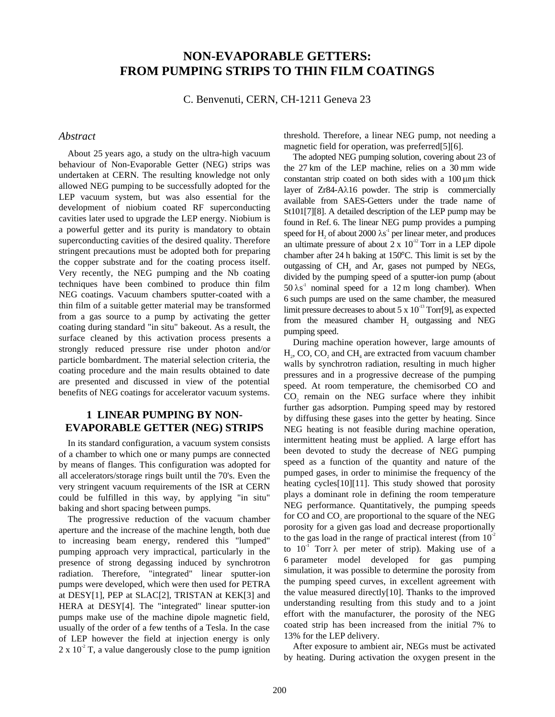# **NON-EVAPORABLE GETTERS: FROM PUMPING STRIPS TO THIN FILM COATINGS**

C. Benvenuti, CERN, CH-1211 Geneva 23

### *Abstract*

About 25 years ago, a study on the ultra-high vacuum behaviour of Non-Evaporable Getter (NEG) strips was undertaken at CERN. The resulting knowledge not only allowed NEG pumping to be successfully adopted for the LEP vacuum system, but was also essential for the development of niobium coated RF superconducting cavities later used to upgrade the LEP energy. Niobium is a powerful getter and its purity is mandatory to obtain superconducting cavities of the desired quality. Therefore stringent precautions must be adopted both for preparing the copper substrate and for the coating process itself. Very recently, the NEG pumping and the Nb coating techniques have been combined to produce thin film NEG coatings. Vacuum chambers sputter-coated with a thin film of a suitable getter material may be transformed from a gas source to a pump by activating the getter coating during standard "in situ" bakeout. As a result, the surface cleaned by this activation process presents a strongly reduced pressure rise under photon and/or particle bombardment. The material selection criteria, the coating procedure and the main results obtained to date are presented and discussed in view of the potential benefits of NEG coatings for accelerator vacuum systems.

## **1 LINEAR PUMPING BY NON-EVAPORABLE GETTER (NEG) STRIPS**

In its standard configuration, a vacuum system consists of a chamber to which one or many pumps are connected by means of flanges. This configuration was adopted for all accelerators/storage rings built until the 70's. Even the very stringent vacuum requirements of the ISR at CERN could be fulfilled in this way, by applying "in situ" baking and short spacing between pumps.

The progressive reduction of the vacuum chamber aperture and the increase of the machine length, both due to increasing beam energy, rendered this "lumped" pumping approach very impractical, particularly in the presence of strong degassing induced by synchrotron radiation. Therefore, "integrated" linear sputter-ion pumps were developed, which were then used for PETRA at DESY[1], PEP at SLAC[2], TRISTAN at KEK[3] and HERA at DESY[4]. The "integrated" linear sputter-ion pumps make use of the machine dipole magnetic field, usually of the order of a few tenths of a Tesla. In the case of LEP however the field at injection energy is only  $2 \times 10^{-2}$  T, a value dangerously close to the pump ignition

threshold. Therefore, a linear NEG pump, not needing a magnetic field for operation, was preferred[5][6].

The adopted NEG pumping solution, covering about 23 of the 27 km of the LEP machine, relies on a 30 mm wide constantan strip coated on both sides with a  $100 \mu m$  thick layer of Zr84-Aλ16 powder. The strip is commercially available from SAES-Getters under the trade name of St101[7][8]. A detailed description of the LEP pump may be found in Ref. 6. The linear NEG pump provides a pumping speed for  $H_2$  of about 2000  $\lambda s^1$  per linear meter, and produces an ultimate pressure of about  $2 \times 10^{12}$  Torr in a LEP dipole chamber after 24 h baking at 150°C. This limit is set by the outgassing of CH<sub>4</sub> and Ar, gases not pumped by NEGs, divided by the pumping speed of a sputter-ion pump (about  $50 \lambda s^{-1}$  nominal speed for a 12 m long chamber). When 6 such pumps are used on the same chamber, the measured limit pressure decreases to about 5 x  $10^{-13}$  Torr[9], as expected from the measured chamber  $H_2$  outgassing and NEG pumping speed.

During machine operation however, large amounts of  $H<sub>2</sub>$ , CO, CO<sub>2</sub> and CH<sub>4</sub> are extracted from vacuum chamber walls by synchrotron radiation, resulting in much higher pressures and in a progressive decrease of the pumping speed. At room temperature, the chemisorbed CO and  $CO<sub>2</sub>$  remain on the NEG surface where they inhibit further gas adsorption. Pumping speed may by restored by diffusing these gases into the getter by heating. Since NEG heating is not feasible during machine operation, intermittent heating must be applied. A large effort has been devoted to study the decrease of NEG pumping speed as a function of the quantity and nature of the pumped gases, in order to minimise the frequency of the heating cycles[10][11]. This study showed that porosity plays a dominant role in defining the room temperature NEG performance. Quantitatively, the pumping speeds for CO and  $CO<sub>2</sub>$  are proportional to the square of the NEG porosity for a given gas load and decrease proportionally to the gas load in the range of practical interest (from  $10^{-2}$ to  $10^{-1}$  Torr  $\lambda$  per meter of strip). Making use of a 6 parameter model developed for gas pumping simulation, it was possible to determine the porosity from the pumping speed curves, in excellent agreement with the value measured directly[10]. Thanks to the improved understanding resulting from this study and to a joint effort with the manufacturer, the porosity of the NEG coated strip has been increased from the initial 7% to 13% for the LEP delivery.

After exposure to ambient air, NEGs must be activated by heating. During activation the oxygen present in the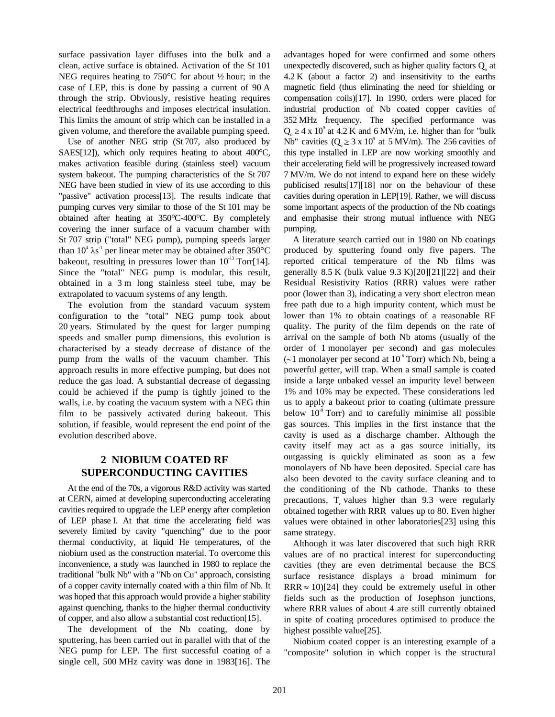surface passivation layer diffuses into the bulk and a clean, active surface is obtained. Activation of the St 101 NEG requires heating to 750°C for about ½ hour; in the case of LEP, this is done by passing a current of 90 A through the strip. Obviously, resistive heating requires electrical feedthroughs and imposes electrical insulation. This limits the amount of strip which can be installed in a given volume, and therefore the available pumping speed.

Use of another NEG strip (St 707, also produced by SAES[12]), which only requires heating to about 400°C, makes activation feasible during (stainless steel) vacuum system bakeout. The pumping characteristics of the St 707 NEG have been studied in view of its use according to this "passive" activation process[13]. The results indicate that pumping curves very similar to those of the St 101 may be obtained after heating at 350°C-400°C. By completely covering the inner surface of a vacuum chamber with St 707 strip ("total" NEG pump), pumping speeds larger than  $10^4 \lambda s^{-1}$  per linear meter may be obtained after 350°C bakeout, resulting in pressures lower than  $10^{-13}$  Torr[14]. Since the "total" NEG pump is modular, this result, obtained in a 3 m long stainless steel tube, may be extrapolated to vacuum systems of any length.

The evolution from the standard vacuum system configuration to the "total" NEG pump took about 20 years. Stimulated by the quest for larger pumping speeds and smaller pump dimensions, this evolution is characterised by a steady decrease of distance of the pump from the walls of the vacuum chamber. This approach results in more effective pumping, but does not reduce the gas load. A substantial decrease of degassing could be achieved if the pump is tightly joined to the walls, i.e. by coating the vacuum system with a NEG thin film to be passively activated during bakeout. This solution, if feasible, would represent the end point of the evolution described above.

# **2 NIOBIUM COATED RF SUPERCONDUCTING CAVITIES**

At the end of the 70s, a vigorous R&D activity was started at CERN, aimed at developing superconducting accelerating cavities required to upgrade the LEP energy after completion of LEP phase I. At that time the accelerating field was severely limited by cavity "quenching" due to the poor thermal conductivity, at liquid He temperatures, of the niobium used as the construction material. To overcome this inconvenience, a study was launched in 1980 to replace the traditional "bulk Nb" with a "Nb on Cu" approach, consisting of a copper cavity internally coated with a thin film of Nb. It was hoped that this approach would provide a higher stability against quenching, thanks to the higher thermal conductivity of copper, and also allow a substantial cost reduction[15].

The development of the Nb coating, done by sputtering, has been carried out in parallel with that of the NEG pump for LEP. The first successful coating of a single cell, 500 MHz cavity was done in 1983[16]. The

advantages hoped for were confirmed and some others unexpectedly discovered, such as higher quality factors  $Q_0$  at 4.2 K (about a factor 2) and insensitivity to the earths magnetic field (thus eliminating the need for shielding or compensation coils)[17]. In 1990, orders were placed for industrial production of Nb coated copper cavities of 352 MHz frequency. The specified performance was  $Q_0 \ge 4 \times 10^9$  at 4.2 K and 6 MV/m, i.e. higher than for "bulk Nb" cavities  $(Q_0 \ge 3 \times 10^9$  at 5 MV/m). The 256 cavities of this type installed in LEP are now working smoothly and their accelerating field will be progressively increased toward 7 MV/m. We do not intend to expand here on these widely publicised results[17][18] nor on the behaviour of these cavities during operation in LEP[19]. Rather, we will discuss some important aspects of the production of the Nb coatings and emphasise their strong mutual influence with NEG pumping.

A literature search carried out in 1980 on Nb coatings produced by sputtering found only five papers. The reported critical temperature of the Nb films was generally 8.5 K (bulk value 9.3 K)[20][21][22] and their Residual Resistivity Ratios (RRR) values were rather poor (lower than 3), indicating a very short electron mean free path due to a high impurity content, which must be lower than 1% to obtain coatings of a reasonable RF quality. The purity of the film depends on the rate of arrival on the sample of both Nb atoms (usually of the order of 1 monolayer per second) and gas molecules  $(\sim 1$  monolayer per second at 10<sup> $\circ$ </sup> Torr) which Nb, being a powerful getter, will trap. When a small sample is coated inside a large unbaked vessel an impurity level between 1% and 10% may be expected. These considerations led us to apply a bakeout prior to coating (ultimate pressure below  $10^9$  Torr) and to carefully minimise all possible gas sources. This implies in the first instance that the cavity is used as a discharge chamber. Although the cavity itself may act as a gas source initially, its outgassing is quickly eliminated as soon as a few monolayers of Nb have been deposited. Special care has also been devoted to the cavity surface cleaning and to the conditioning of the Nb cathode. Thanks to these precautions,  $T_c$  values higher than 9.3 were regularly obtained together with RRR values up to 80. Even higher values were obtained in other laboratories[23] using this same strategy.

Although it was later discovered that such high RRR values are of no practical interest for superconducting cavities (they are even detrimental because the BCS surface resistance displays a broad minimum for RRR  $\approx$  10)[24] they could be extremely useful in other fields such as the production of Josephson junctions, where RRR values of about 4 are still currently obtained in spite of coating procedures optimised to produce the highest possible value[25].

Niobium coated copper is an interesting example of a "composite" solution in which copper is the structural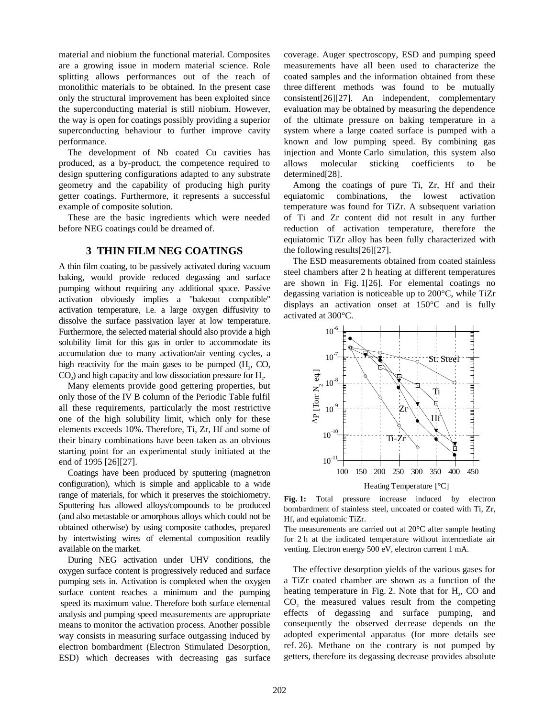material and niobium the functional material. Composites are a growing issue in modern material science. Role splitting allows performances out of the reach of monolithic materials to be obtained. In the present case only the structural improvement has been exploited since the superconducting material is still niobium. However, the way is open for coatings possibly providing a superior superconducting behaviour to further improve cavity performance.

The development of Nb coated Cu cavities has produced, as a by-product, the competence required to design sputtering configurations adapted to any substrate geometry and the capability of producing high purity getter coatings. Furthermore, it represents a successful example of composite solution.

These are the basic ingredients which were needed before NEG coatings could be dreamed of.

## **3 THIN FILM NEG COATINGS**

A thin film coating, to be passively activated during vacuum baking, would provide reduced degassing and surface pumping without requiring any additional space. Passive activation obviously implies a "bakeout compatible" activation temperature, i.e. a large oxygen diffusivity to dissolve the surface passivation layer at low temperature. Furthermore, the selected material should also provide a high solubility limit for this gas in order to accommodate its accumulation due to many activation/air venting cycles, a high reactivity for the main gases to be pumped  $(H_2, CO,$  $CO<sub>2</sub>$ ) and high capacity and low dissociation pressure for  $H<sub>2</sub>$ .

Many elements provide good gettering properties, but only those of the IV B column of the Periodic Table fulfil all these requirements, particularly the most restrictive one of the high solubility limit, which only for these elements exceeds 10%. Therefore, Ti, Zr, Hf and some of their binary combinations have been taken as an obvious starting point for an experimental study initiated at the end of 1995 [26][27].

Coatings have been produced by sputtering (magnetron configuration), which is simple and applicable to a wide range of materials, for which it preserves the stoichiometry. Sputtering has allowed alloys/compounds to be produced (and also metastable or amorphous alloys which could not be obtained otherwise) by using composite cathodes, prepared by intertwisting wires of elemental composition readily available on the market.

During NEG activation under UHV conditions, the oxygen surface content is progressively reduced and surface pumping sets in. Activation is completed when the oxygen surface content reaches a minimum and the pumping speed its maximum value. Therefore both surface elemental analysis and pumping speed measurements are appropriate means to monitor the activation process. Another possible way consists in measuring surface outgassing induced by electron bombardment (Electron Stimulated Desorption, ESD) which decreases with decreasing gas surface coverage. Auger spectroscopy, ESD and pumping speed measurements have all been used to characterize the coated samples and the information obtained from these three different methods was found to be mutually consistent[26][27]. An independent, complementary evaluation may be obtained by measuring the dependence of the ultimate pressure on baking temperature in a system where a large coated surface is pumped with a known and low pumping speed. By combining gas injection and Monte Carlo simulation, this system also allows molecular sticking coefficients to be determined[28].

Among the coatings of pure Ti, Zr, Hf and their equiatomic combinations, the lowest activation temperature was found for TiZr. A subsequent variation of Ti and Zr content did not result in any further reduction of activation temperature, therefore the equiatomic TiZr alloy has been fully characterized with the following results[26][27].

The ESD measurements obtained from coated stainless steel chambers after 2 h heating at different temperatures are shown in Fig. 1[26]. For elemental coatings no degassing variation is noticeable up to 200°C, while TiZr displays an activation onset at 150°C and is fully activated at 300°C.



Fig. 1: Total pressure increase induced by electron bombardment of stainless steel, uncoated or coated with Ti, Zr, Hf, and equiatomic TiZr.

The measurements are carried out at 20°C after sample heating for 2 h at the indicated temperature without intermediate air venting. Electron energy 500 eV, electron current 1 mA.

The effective desorption yields of the various gases for a TiZr coated chamber are shown as a function of the heating temperature in Fig. 2. Note that for  $H<sub>2</sub>$ , CO and  $CO<sub>2</sub>$  the measured values result from the competing effects of degassing and surface pumping, and consequently the observed decrease depends on the adopted experimental apparatus (for more details see ref. 26). Methane on the contrary is not pumped by getters, therefore its degassing decrease provides absolute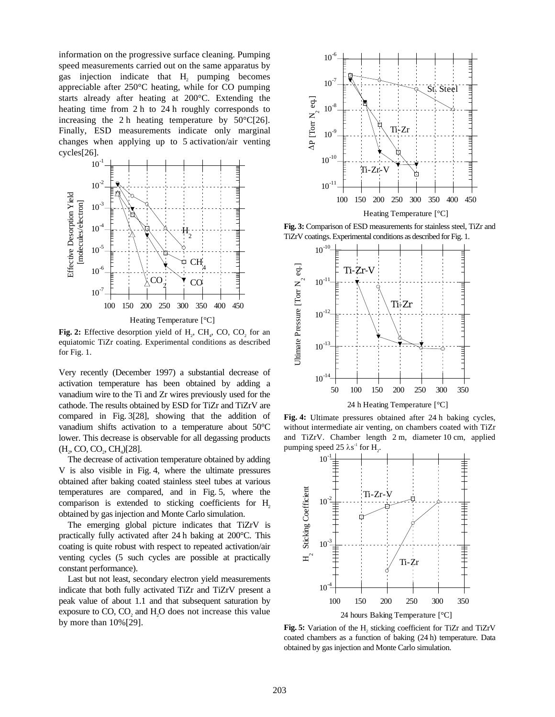information on the progressive surface cleaning. Pumping speed measurements carried out on the same apparatus by gas injection indicate that  $H_2$  pumping becomes appreciable after 250°C heating, while for CO pumping starts already after heating at 200°C. Extending the heating time from 2 h to 24 h roughly corresponds to increasing the 2 h heating temperature by  $50^{\circ}C[26]$ . Finally, ESD measurements indicate only marginal changes when applying up to 5 activation/air venting cycles[26].



**Fig. 2:** Effective desorption yield of  $H_2$ , CH<sub>4</sub>, CO, CO<sub>2</sub> for an equiatomic TiZr coating. Experimental conditions as described for Fig. 1.

Very recently (December 1997) a substantial decrease of activation temperature has been obtained by adding a vanadium wire to the Ti and Zr wires previously used for the cathode. The results obtained by ESD for TiZr and TiZrV are compared in Fig. 3[28], showing that the addition of vanadium shifts activation to a temperature about 50°C lower. This decrease is observable for all degassing products  $(H_2, CO, CO_2, CH_4)[28].$ 

The decrease of activation temperature obtained by adding V is also visible in Fig. 4, where the ultimate pressures obtained after baking coated stainless steel tubes at various temperatures are compared, and in Fig. 5, where the comparison is extended to sticking coefficients for H<sub>2</sub> obtained by gas injection and Monte Carlo simulation.

The emerging global picture indicates that TiZrV is practically fully activated after 24 h baking at 200°C. This coating is quite robust with respect to repeated activation/air venting cycles (5 such cycles are possible at practically constant performance).

Last but not least, secondary electron yield measurements indicate that both fully activated TiZr and TiZrV present a peak value of about 1.1 and that subsequent saturation by exposure to  $CO$ ,  $CO<sub>2</sub>$  and  $H<sub>2</sub>O$  does not increase this value by more than 10%[29].



**Fig. 3:** Comparison of ESD measurements for stainless steel, TiZr and TiZrV coatings. Experimental conditions as described for Fig. 1.



**Fig. 4:** Ultimate pressures obtained after 24 h baking cycles, without intermediate air venting, on chambers coated with TiZr



**Fig. 5:** Variation of the H<sub>2</sub> sticking coefficient for TiZr and TiZrV coated chambers as a function of baking (24 h) temperature. Data obtained by gas injection and Monte Carlo simulation.